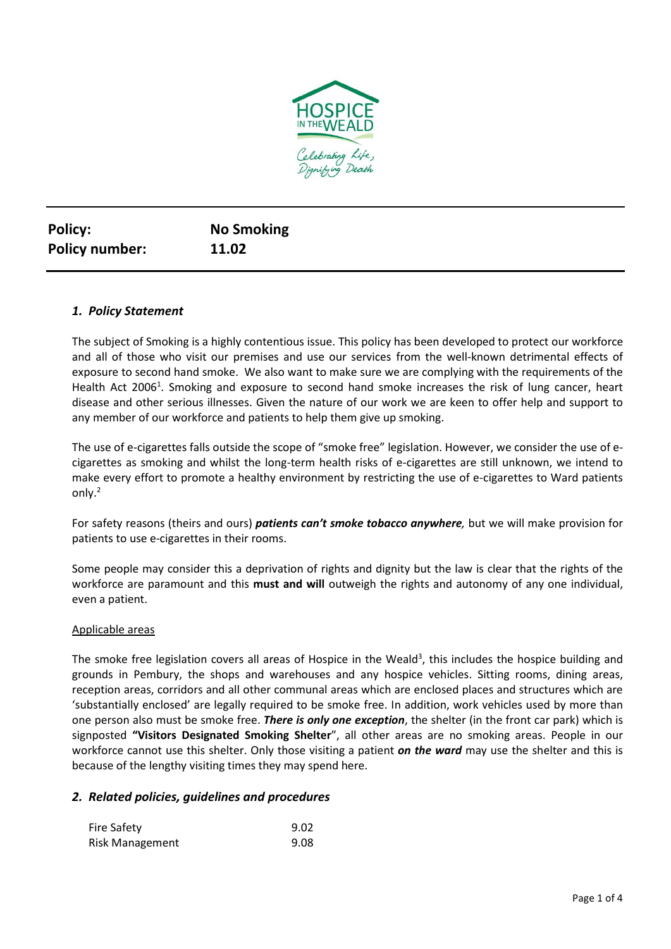

| <b>Policy:</b>        | <b>No Smoking</b> |
|-----------------------|-------------------|
| <b>Policy number:</b> | 11.02             |

## *1. Policy Statement*

The subject of Smoking is a highly contentious issue. This policy has been developed to protect our workforce and all of those who visit our premises and use our services from the well-known detrimental effects of exposure to second hand smoke. We also want to make sure we are complying with the requirements of the Health Act 2006<sup>1</sup>. Smoking and exposure to second hand smoke increases the risk of lung cancer, heart disease and other serious illnesses. Given the nature of our work we are keen to offer help and support to any member of our workforce and patients to help them give up smoking.

The use of e-cigarettes falls outside the scope of "smoke free" legislation. However, we consider the use of ecigarettes as smoking and whilst the long-term health risks of e-cigarettes are still unknown, we intend to make every effort to promote a healthy environment by restricting the use of e-cigarettes to Ward patients only.<sup>2</sup>

For safety reasons (theirs and ours) *patients can't smoke tobacco anywhere,* but we will make provision for patients to use e-cigarettes in their rooms.

Some people may consider this a deprivation of rights and dignity but the law is clear that the rights of the workforce are paramount and this **must and will** outweigh the rights and autonomy of any one individual, even a patient.

#### Applicable areas

The smoke free legislation covers all areas of Hospice in the Weald<sup>3</sup>, this includes the hospice building and grounds in Pembury, the shops and warehouses and any hospice vehicles. Sitting rooms, dining areas, reception areas, corridors and all other communal areas which are enclosed places and structures which are 'substantially enclosed' are legally required to be smoke free. In addition, work vehicles used by more than one person also must be smoke free. *There is only one exception*, the shelter (in the front car park) which is signposted **"Visitors Designated Smoking Shelter**", all other areas are no smoking areas. People in our workforce cannot use this shelter. Only those visiting a patient *on the ward* may use the shelter and this is because of the lengthy visiting times they may spend here.

#### *2. Related policies, guidelines and procedures*

| <b>Fire Safety</b>     | 9.02 |
|------------------------|------|
| <b>Risk Management</b> | 9.08 |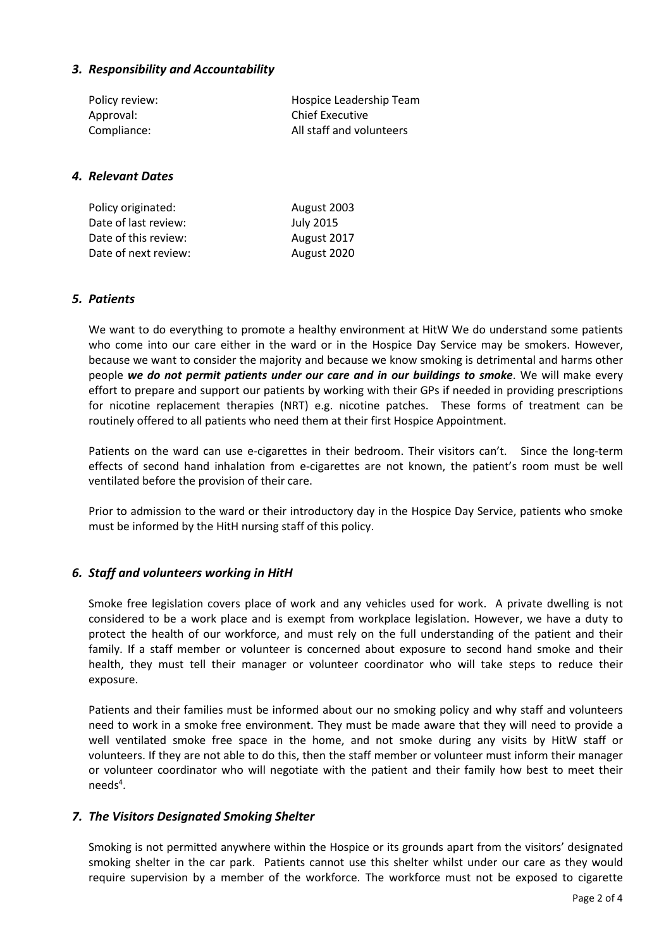## *3. Responsibility and Accountability*

| Policy review: | Hospice Leadership Team  |
|----------------|--------------------------|
| Approval:      | <b>Chief Executive</b>   |
| Compliance:    | All staff and volunteers |

#### *4. Relevant Dates*

| Policy originated:   | August 2003      |
|----------------------|------------------|
| Date of last review: | <b>July 2015</b> |
| Date of this review: | August 2017      |
| Date of next review: | August 2020      |

## *5. Patients*

We want to do everything to promote a healthy environment at HitW We do understand some patients who come into our care either in the ward or in the Hospice Day Service may be smokers. However, because we want to consider the majority and because we know smoking is detrimental and harms other people *we do not permit patients under our care and in our buildings to smoke*. We will make every effort to prepare and support our patients by working with their GPs if needed in providing prescriptions for nicotine replacement therapies (NRT) e.g. nicotine patches. These forms of treatment can be routinely offered to all patients who need them at their first Hospice Appointment.

Patients on the ward can use e-cigarettes in their bedroom. Their visitors can't. Since the long-term effects of second hand inhalation from e-cigarettes are not known, the patient's room must be well ventilated before the provision of their care.

Prior to admission to the ward or their introductory day in the Hospice Day Service, patients who smoke must be informed by the HitH nursing staff of this policy.

#### *6. Staff and volunteers working in HitH*

Smoke free legislation covers place of work and any vehicles used for work. A private dwelling is not considered to be a work place and is exempt from workplace legislation. However, we have a duty to protect the health of our workforce, and must rely on the full understanding of the patient and their family. If a staff member or volunteer is concerned about exposure to second hand smoke and their health, they must tell their manager or volunteer coordinator who will take steps to reduce their exposure.

Patients and their families must be informed about our no smoking policy and why staff and volunteers need to work in a smoke free environment. They must be made aware that they will need to provide a well ventilated smoke free space in the home, and not smoke during any visits by HitW staff or volunteers. If they are not able to do this, then the staff member or volunteer must inform their manager or volunteer coordinator who will negotiate with the patient and their family how best to meet their needs<sup>4</sup>.

#### *7. The Visitors Designated Smoking Shelter*

Smoking is not permitted anywhere within the Hospice or its grounds apart from the visitors' designated smoking shelter in the car park. Patients cannot use this shelter whilst under our care as they would require supervision by a member of the workforce. The workforce must not be exposed to cigarette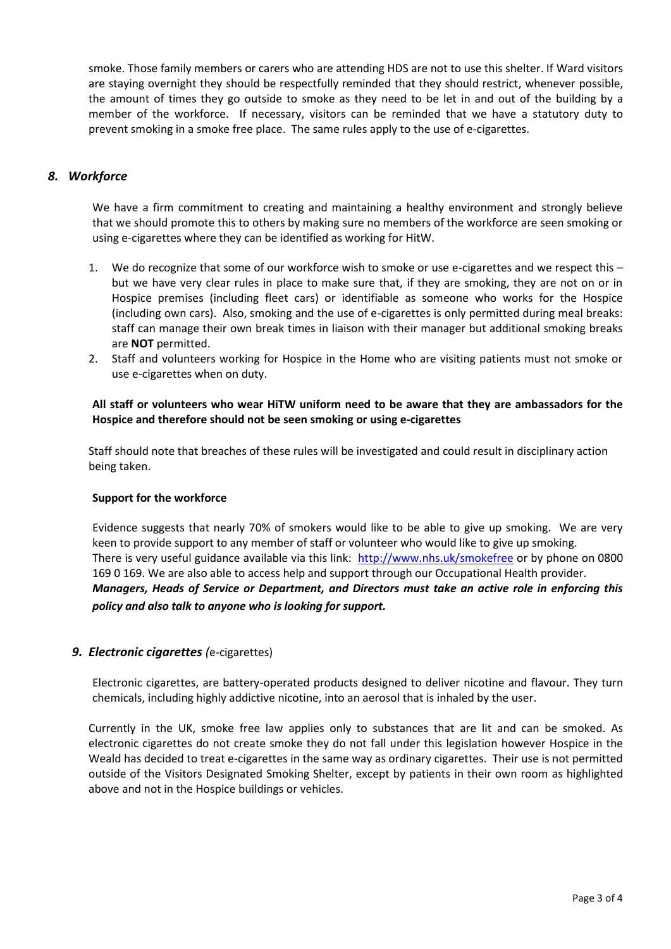smoke. Those family members or carers who are attending HDS are not to use this shelter. If Ward visitors are staying overnight they should be respectfully reminded that they should restrict, whenever possible, the amount of times they go outside to smoke as they need to be let in and out of the building by a member of the workforce. If necessary, visitors can be reminded that we have a statutory duty to prevent smoking in a smoke free place. The same rules apply to the use of e-cigarettes.

# *8. Workforce*

We have a firm commitment to creating and maintaining a healthy environment and strongly believe that we should promote this to others by making sure no members of the workforce are seen smoking or using e-cigarettes where they can be identified as working for HitW.

- 1. We do recognize that some of our workforce wish to smoke or use e-cigarettes and we respect this but we have very clear rules in place to make sure that, if they are smoking, they are not on or in Hospice premises (including fleet cars) or identifiable as someone who works for the Hospice (including own cars). Also, smoking and the use of e-cigarettes is only permitted during meal breaks: staff can manage their own break times in liaison with their manager but additional smoking breaks are **NOT** permitted.
- 2. Staff and volunteers working for Hospice in the Home who are visiting patients must not smoke or use e-cigarettes when on duty.

## **All staff or volunteers who wear HiTW uniform need to be aware that they are ambassadors for the Hospice and therefore should not be seen smoking or using e-cigarettes**

Staff should note that breaches of these rules will be investigated and could result in disciplinary action being taken.

#### **Support for the workforce**

Evidence suggests that nearly 70% of smokers would like to be able to give up smoking. We are very keen to provide support to any member of staff or volunteer who would like to give up smoking. There is very useful guidance available via this link: <http://www.nhs.uk/smokefree> or by phone on 0800 169 0 169. We are also able to access help and support through our Occupational Health provider. *Managers, Heads of Service or Department, and Directors must take an active role in enforcing this policy and also talk to anyone who is looking for support.* 

## *9. Electronic cigarettes (*e-cigarettes)

Electronic cigarettes, are battery-operated products designed to deliver nicotine and flavour. They turn chemicals, including highly addictive nicotine, into an aerosol that is inhaled by the user.

Currently in the UK, smoke free law applies only to substances that are lit and can be smoked. As electronic cigarettes do not create smoke they do not fall under this legislation however Hospice in the Weald has decided to treat e-cigarettes in the same way as ordinary cigarettes. Their use is not permitted outside of the Visitors Designated Smoking Shelter, except by patients in their own room as highlighted above and not in the Hospice buildings or vehicles.